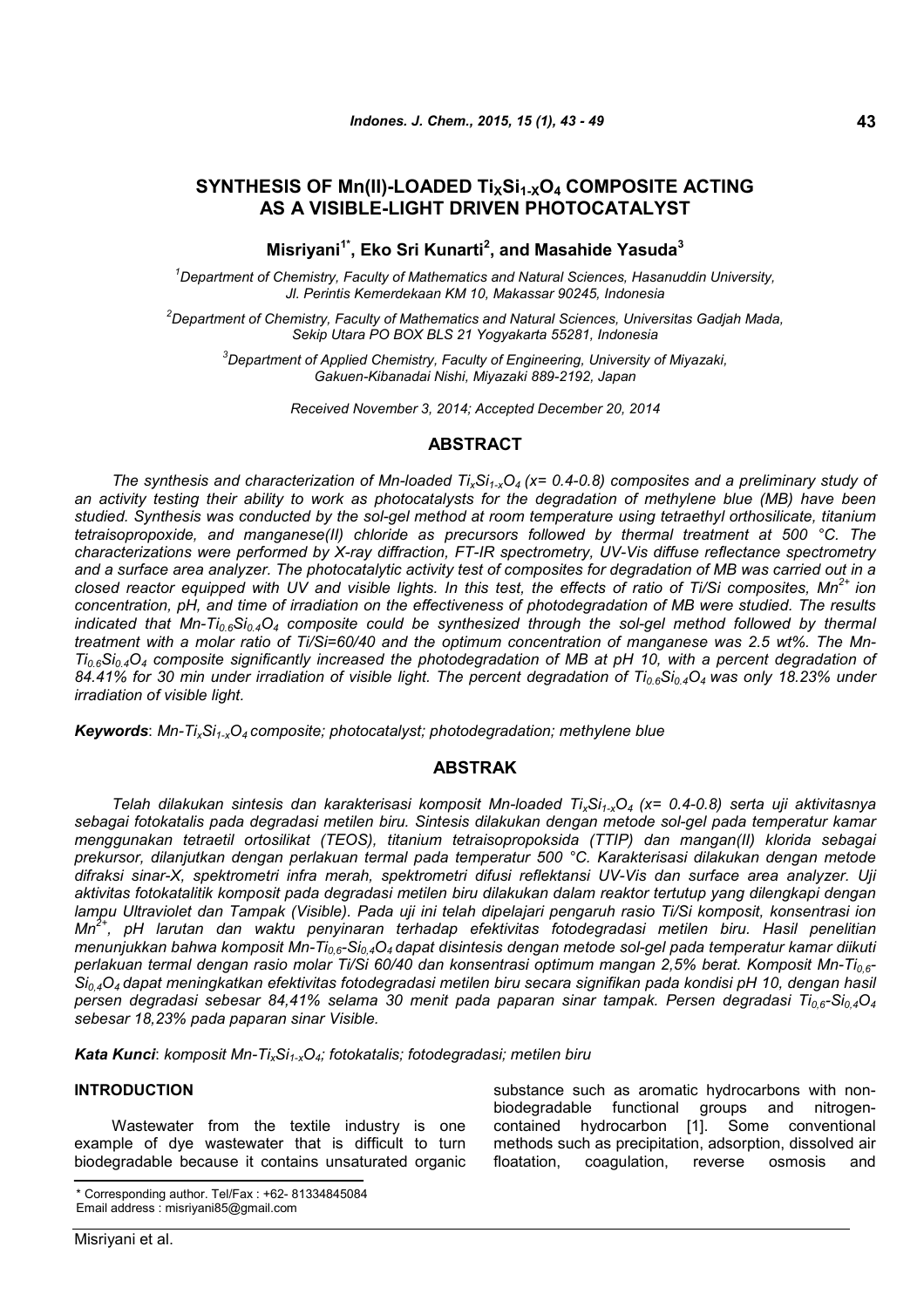# **SYNTHESIS OF Mn(II)-LOADED TiXSi1-XO<sup>4</sup> COMPOSITE ACTING AS A VISIBLE-LIGHT DRIVEN PHOTOCATALYST**

**Misriyani1\*, Eko Sri Kunarti<sup>2</sup> , and Masahide Yasuda<sup>3</sup>**

*<sup>1</sup>Department of Chemistry, Faculty of Mathematics and Natural Sciences, Hasanuddin University, Jl. Perintis Kemerdekaan KM 10, Makassar 90245, Indonesia*

*<sup>2</sup>Department of Chemistry, Faculty of Mathematics and Natural Sciences, Universitas Gadjah Mada, Sekip Utara PO BOX BLS 21 Yogyakarta 55281, Indonesia*

*<sup>3</sup>Department of Applied Chemistry, Faculty of Engineering, University of Miyazaki, Gakuen-Kibanadai Nishi, Miyazaki 889-2192, Japan*

*Received November 3, 2014; Accepted December 20, 2014*

## **ABSTRACT**

*The synthesis and characterization of Mn-loaded TixSi1-xO<sup>4</sup> (x= 0.4-0.8) composites and a preliminary study of an activity testing their ability to work as photocatalysts for the degradation of methylene blue (MB) have been studied. Synthesis was conducted by the sol-gel method at room temperature using tetraethyl orthosilicate, titanium tetraisopropoxide, and manganese(II) chloride as precursors followed by thermal treatment at 500 °C. The characterizations were performed by X-ray diffraction, FT-IR spectrometry, UV-Vis diffuse reflectance spectrometry and a surface area analyzer. The photocatalytic activity test of composites for degradation of MB was carried out in a closed reactor equipped with UV and visible lights. In this test, the effects of ratio of Ti/Si composites, Mn2+ ion concentration, pH, and time of irradiation on the effectiveness of photodegradation of MB were studied. The results indicated that Mn-Ti0.6Si0.4O<sup>4</sup> composite could be synthesized through the sol-gel method followed by thermal treatment with a molar ratio of Ti/Si=60/40 and the optimum concentration of manganese was 2.5 wt%. The Mn-Ti0.6Si0.4O<sup>4</sup> composite significantly increased the photodegradation of MB at pH 10, with a percent degradation of 84.41% for 30 min under irradiation of visible light. The percent degradation of Ti0.6Si0.4O<sup>4</sup> was only 18.23% under irradiation of visible light.*

*Keywords*: *Mn-TixSi1-xO<sup>4</sup> composite; photocatalyst; photodegradation; methylene blue*

### **ABSTRAK**

*Telah dilakukan sintesis dan karakterisasi komposit Mn-loaded TixSi1-xO<sup>4</sup> (x= 0.4-0.8) serta uji aktivitasnya sebagai fotokatalis pada degradasi metilen biru. Sintesis dilakukan dengan metode sol-gel pada temperatur kamar menggunakan tetraetil ortosilikat (TEOS), titanium tetraisopropoksida (TTIP) dan mangan(II) klorida sebagai prekursor, dilanjutkan dengan perlakuan termal pada temperatur 500 °C. Karakterisasi dilakukan dengan metode difraksi sinar-X, spektrometri infra merah, spektrometri difusi reflektansi UV-Vis dan surface area analyzer. Uji aktivitas fotokatalitik komposit pada degradasi metilen biru dilakukan dalam reaktor tertutup yang dilengkapi dengan lampu Ultraviolet dan Tampak (Visible). Pada uji ini telah dipelajari pengaruh rasio Ti/Si komposit, konsentrasi ion Mn2+, pH larutan dan waktu penyinaran terhadap efektivitas fotodegradasi metilen biru. Hasil penelitian menunjukkan bahwa komposit Mn-Ti0,6-Si0,4O<sup>4</sup> dapat disintesis dengan metode sol-gel pada temperatur kamar diikuti perlakuan termal dengan rasio molar Ti/Si 60/40 dan konsentrasi optimum mangan 2,5% berat. Komposit Mn-Ti0,6- Si0,4O<sup>4</sup> dapat meningkatkan efektivitas fotodegradasi metilen biru secara signifikan pada kondisi pH 10, dengan hasil persen degradasi sebesar 84,41% selama 30 menit pada paparan sinar tampak. Persen degradasi Ti0,6-Si0,4O<sup>4</sup> sebesar 18,23% pada paparan sinar Visible.*

*Kata Kunci*: *komposit Mn-TixSi1-xO4; fotokatalis; fotodegradasi; metilen biru*

## **INTRODUCTION**

Wastewater from the textile industry is one example of dye wastewater that is difficult to turn biodegradable because it contains unsaturated organic

\* Corresponding author. Tel/Fax : +62- 81334845084 Email address : misriyani85@gmail.com

substance such as aromatic hydrocarbons with nonbiodegradable functional groups and nitrogencontained hydrocarbon [1]. Some conventional methods such as precipitation, adsorption, dissolved air floatation, coagulation, reverse osmosis and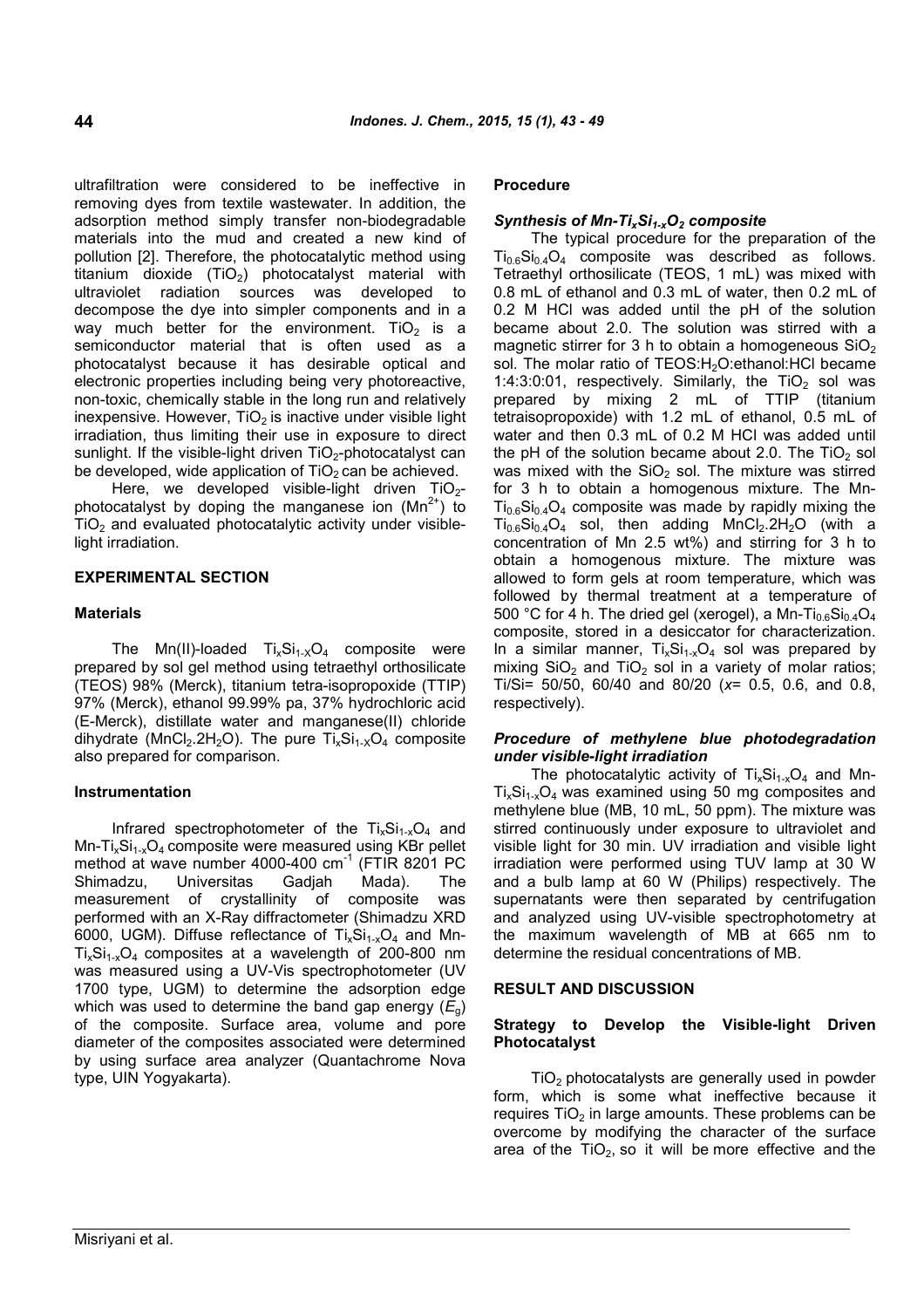ultrafiltration were considered to be ineffective in removing dyes from textile wastewater. In addition, the adsorption method simply transfer non-biodegradable materials into the mud and created a new kind of pollution [2]. Therefore, the photocatalytic method using titanium dioxide  $(TiO<sub>2</sub>)$  photocatalyst material with ultraviolet radiation sources was developed to decompose the dye into simpler components and in a way much better for the environment. TiO<sub>2</sub> is a semiconductor material that is often used as a photocatalyst because it has desirable optical and electronic properties including being very photoreactive, non-toxic, chemically stable in the long run and relatively inexpensive. However,  $TiO<sub>2</sub>$  is inactive under visible light irradiation, thus limiting their use in exposure to direct sunlight. If the visible-light driven  $TiO<sub>2</sub>$ -photocatalyst can be developed, wide application of  $TiO<sub>2</sub>$  can be achieved.

Here, we developed visible-light driven  $TiO<sub>2</sub>$ photocatalyst by doping the manganese ion  $(Mn^{2+})$  to  $TiO<sub>2</sub>$  and evaluated photocatalytic activity under visiblelight irradiation.

## **EXPERIMENTAL SECTION**

#### **Materials**

The Mn(II)-loaded  $Ti_xSi_{1-x}O_4$  composite were prepared by sol gel method using tetraethyl orthosilicate (TEOS) 98% (Merck), titanium tetra-isopropoxide (TTIP) 97% (Merck), ethanol 99.99% pa, 37% hydrochloric acid (E-Merck), distillate water and manganese(II) chloride dihydrate (MnCl<sub>2</sub>.2H<sub>2</sub>O). The pure  $Ti_xSi_{1-x}O_4$  composite also prepared for comparison.

#### **Instrumentation**

Infrared spectrophotometer of the  $Ti_xSi_{1-x}O_4$  and  $Mn-Ti_xSi_{1-x}O_4$  composite were measured using KBr pellet method at wave number 4000-400  $cm^{-1}$  (FTIR 8201 PC Shimadzu, Universitas Gadjah Mada). The measurement of crystallinity of composite was performed with an X-Ray diffractometer (Shimadzu XRD 6000, UGM). Diffuse reflectance of  $Ti_xSi_{1-x}O_4$  and Mn- $Ti<sub>x</sub>Si<sub>1-x</sub>O<sub>4</sub>$  composites at a wavelength of 200-800 nm was measured using a UV-Vis spectrophotometer (UV 1700 type, UGM) to determine the adsorption edge which was used to determine the band gap energy  $(E_q)$ of the composite. Surface area, volume and pore diameter of the composites associated were determined by using surface area analyzer (Quantachrome Nova type, UIN Yogyakarta).

### **Procedure**

#### *Synthesis of Mn-TixSi1-xO<sup>2</sup> composite*

The typical procedure for the preparation of the  $Ti_{0.6}Si_{0.4}O_4$  composite was described as follows. Tetraethyl orthosilicate (TEOS, 1 mL) was mixed with 0.8 mL of ethanol and 0.3 mL of water, then 0.2 mL of 0.2 M HCl was added until the pH of the solution became about 2.0. The solution was stirred with a magnetic stirrer for 3 h to obtain a homogeneous  $SiO<sub>2</sub>$ sol. The molar ratio of TEOS:H<sub>2</sub>O:ethanol:HCl became 1:4:3:0:01, respectively. Similarly, the  $TiO<sub>2</sub>$  sol was prepared by mixing 2 mL of TTIP (titanium tetraisopropoxide) with 1.2 mL of ethanol, 0.5 mL of water and then 0.3 mL of 0.2 M HCl was added until the pH of the solution became about 2.0. The  $TiO<sub>2</sub>$  sol was mixed with the  $SiO<sub>2</sub>$  sol. The mixture was stirred for 3 h to obtain a homogenous mixture. The Mn- $Ti<sub>0.6</sub>Si<sub>0.4</sub>O<sub>4</sub>$  composite was made by rapidly mixing the  $Ti_{0.6}Si_{0.4}O_4$  sol, then adding  $MnCl_2.2H_2O$  (with a concentration of Mn 2.5 wt%) and stirring for 3 h to obtain a homogenous mixture. The mixture was allowed to form gels at room temperature, which was followed by thermal treatment at a temperature of 500 °C for 4 h. The dried gel (xerogel), a Mn-Ti<sub>0.6</sub>Si<sub>0.4</sub>O<sub>4</sub> composite, stored in a desiccator for characterization. In a similar manner,  $Ti_xSi_{1-x}O_4$  sol was prepared by mixing  $SiO<sub>2</sub>$  and  $TiO<sub>2</sub>$  sol in a variety of molar ratios; Ti/Si= 50/50, 60/40 and 80/20 (*x*= 0.5, 0.6, and 0.8, respectively).

## *Procedure of methylene blue photodegradation under visible-light irradiation*

The photocatalytic activity of  $Ti_xSi_{1-x}O_4$  and Mn- $Ti_xSi_{1-x}O_4$  was examined using 50 mg composites and methylene blue (MB, 10 mL, 50 ppm). The mixture was stirred continuously under exposure to ultraviolet and visible light for 30 min. UV irradiation and visible light irradiation were performed using TUV lamp at 30 W and a bulb lamp at 60 W (Philips) respectively. The supernatants were then separated by centrifugation and analyzed using UV-visible spectrophotometry at the maximum wavelength of MB at 665 nm to determine the residual concentrations of MB.

## **RESULT AND DISCUSSION**

### **Strategy to Develop the Visible-light Driven Photocatalyst**

 $TiO<sub>2</sub>$  photocatalysts are generally used in powder form, which is some what ineffective because it requires  $TiO<sub>2</sub>$  in large amounts. These problems can be overcome by modifying the character of the surface area of the  $TiO<sub>2</sub>$ , so it will be more effective and the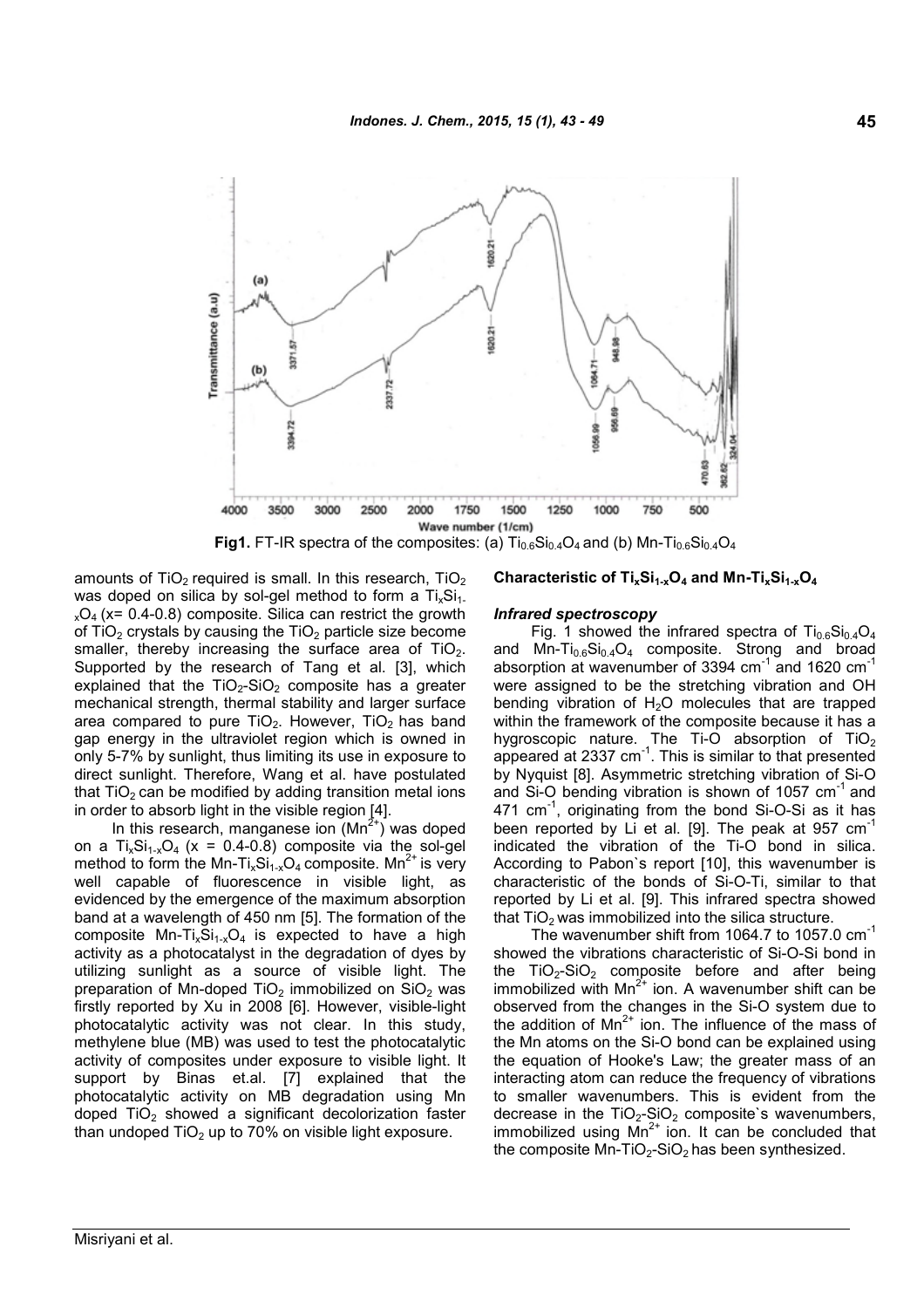

amounts of  $TiO<sub>2</sub>$  required is small. In this research,  $TiO<sub>2</sub>$ was doped on silica by sol-gel method to form a  $Ti<sub>x</sub>Si<sub>1</sub>$ .  $_{x}O_{4}$  (x= 0.4-0.8) composite. Silica can restrict the growth of  $TiO<sub>2</sub>$  crystals by causing the  $TiO<sub>2</sub>$  particle size become smaller, thereby increasing the surface area of  $TiO<sub>2</sub>$ . Supported by the research of Tang et al. [3], which explained that the  $TiO<sub>2</sub>-SiO<sub>2</sub>$  composite has a greater mechanical strength, thermal stability and larger surface area compared to pure  $TiO<sub>2</sub>$ . However,  $TiO<sub>2</sub>$  has band gap energy in the ultraviolet region which is owned in only 5-7% by sunlight, thus limiting its use in exposure to direct sunlight. Therefore, Wang et al. have postulated that  $TiO<sub>2</sub>$  can be modified by adding transition metal ions in order to absorb light in the visible region [4].

In this research, manganese ion  $(Mn^{2+})$  was doped on a  $Ti_xSi_{1-x}O_4$  (x = 0.4-0.8) composite via the sol-gel method to form the Mn-Ti<sub>x</sub>Si<sub>1-x</sub>O<sub>4</sub> composite. Mn<sup>2+</sup> is very well capable of fluorescence in visible light, as evidenced by the emergence of the maximum absorption band at a wavelength of 450 nm [5]. The formation of the composite Mn-Ti<sub>x</sub>Si<sub>1-x</sub>O<sub>4</sub> is expected to have a high activity as a photocatalyst in the degradation of dyes by utilizing sunlight as a source of visible light. The preparation of Mn-doped TiO<sub>2</sub> immobilized on SiO<sub>2</sub> was firstly reported by Xu in 2008 [6]. However, visible-light photocatalytic activity was not clear. In this study, methylene blue (MB) was used to test the photocatalytic activity of composites under exposure to visible light. It support by Binas et.al. [7] explained that the photocatalytic activity on MB degradation using Mn doped  $TiO<sub>2</sub>$  showed a significant decolorization faster than undoped  $TiO<sub>2</sub>$  up to 70% on visible light exposure.

### **Characteristic of TixSi1-xO<sup>4</sup> and Mn-TixSi1-xO<sup>4</sup>**

#### *Infrared spectroscopy*

Fig. 1 showed the infrared spectra of  $\text{Ti}_{0.6}\text{Si}_{0.4}\text{O}_4$ and Mn-Ti<sub>0.6</sub>Si<sub>0.4</sub>O<sub>4</sub> composite. Strong and broad absorption at wavenumber of 3394  $cm^{-1}$  and 1620  $cm^{-1}$ were assigned to be the stretching vibration and OH bending vibration of  $H<sub>2</sub>O$  molecules that are trapped within the framework of the composite because it has a hygroscopic nature. The Ti-O absorption of  $TiO<sub>2</sub>$ appeared at 2337 cm<sup>-1</sup>. This is similar to that presented by Nyquist [8]. Asymmetric stretching vibration of Si-O and Si-O bending vibration is shown of 1057  $cm^{-1}$  and 471 cm<sup>-1</sup>, originating from the bond Si-O-Si as it has been reported by Li et al. [9]. The peak at 957  $cm<sup>-1</sup>$ indicated the vibration of the Ti-O bond in silica. According to Pabon`s report [10], this wavenumber is characteristic of the bonds of Si-O-Ti, similar to that reported by Li et al. [9]. This infrared spectra showed that  $TiO<sub>2</sub>$  was immobilized into the silica structure.

The wavenumber shift from 1064.7 to 1057.0  $cm^{-1}$ showed the vibrations characteristic of Si-O-Si bond in the  $TiO<sub>2</sub>-SiO<sub>2</sub>$  composite before and after being immobilized with  $Mn^{2+}$  ion. A wavenumber shift can be observed from the changes in the Si-O system due to the addition of  $Mn^{2+}$  ion. The influence of the mass of the Mn atoms on the Si-O bond can be explained using the equation of Hooke's Law; the greater mass of an interacting atom can reduce the frequency of vibrations to smaller wavenumbers. This is evident from the decrease in the  $TiO<sub>2</sub>-SiO<sub>2</sub>$  composite's wavenumbers, immobilized using  $Mn^{2+}$  ion. It can be concluded that the composite Mn-TiO<sub>2</sub>-SiO<sub>2</sub> has been synthesized.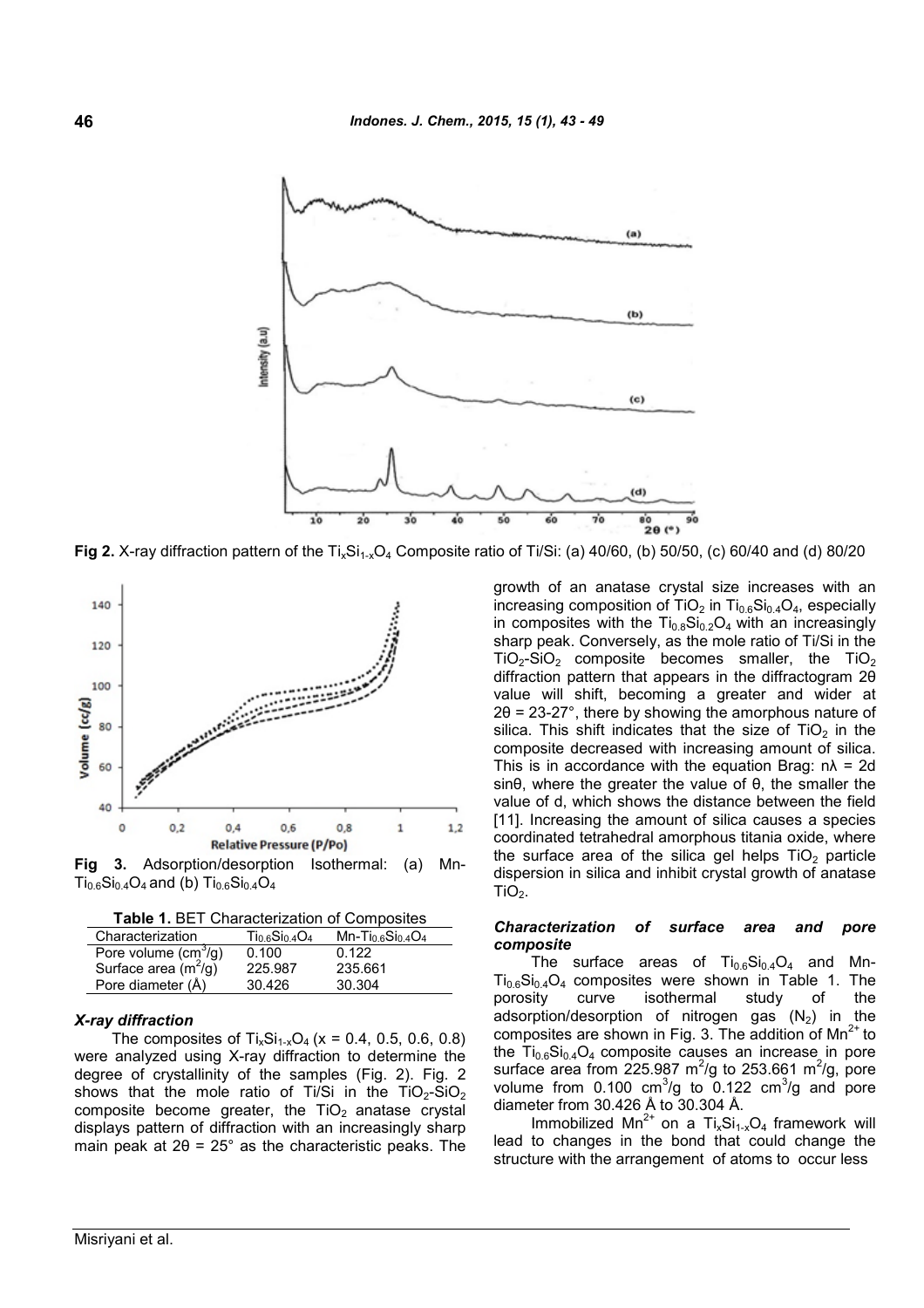

**Fig 2.** X-ray diffraction pattern of the Ti<sub>x</sub>Si<sub>1-x</sub>O<sub>4</sub> Composite ratio of Ti/Si: (a) 40/60, (b) 50/50, (c) 60/40 and (d) 80/20



**Fig 3.** Adsorption/desorption Isothermal: (a) Mn- $Ti_{0.6}Si_{0.4}O_4$  and (b)  $Ti_{0.6}Si_{0.4}O_4$ 

**Table 1.** BET Characterization of Composites

| Characterization       | $Ti0.6Si0.4O4$ | $Mn-Ti0.6Si0.4O4$ |
|------------------------|----------------|-------------------|
| Pore volume $(cm3/g)$  | 0.100          | 0.122             |
| Surface area $(m^2/g)$ | 225.987        | 235.661           |
| Pore diameter (Å)      | 30.426         | 30.304            |

### *X-ray diffraction*

The composites of  $Ti_xSi_{1-x}O_4$  (x = 0.4, 0.5, 0.6, 0.8) were analyzed using X-ray diffraction to determine the degree of crystallinity of the samples (Fig. 2). Fig. 2 shows that the mole ratio of Ti/Si in the TiO<sub>2</sub>-SiO<sub>2</sub> composite become greater, the  $TiO<sub>2</sub>$  anatase crystal displays pattern of diffraction with an increasingly sharp main peak at  $2\theta = 25^\circ$  as the characteristic peaks. The growth of an anatase crystal size increases with an increasing composition of  $TiO<sub>2</sub>$  in  $Ti<sub>0.6</sub>Si<sub>0.4</sub>O<sub>4</sub>$ , especially in composites with the  $Ti_{0.8}Si_{0.2}O_4$  with an increasingly sharp peak. Conversely, as the mole ratio of Ti/Si in the  $TiO<sub>2</sub>-SiO<sub>2</sub>$  composite becomes smaller, the TiO<sub>2</sub> diffraction pattern that appears in the diffractogram 2θ value will shift, becoming a greater and wider at  $2\theta$  = 23-27°, there by showing the amorphous nature of silica. This shift indicates that the size of  $TiO<sub>2</sub>$  in the composite decreased with increasing amount of silica. This is in accordance with the equation Brag:  $n\lambda = 2d$ sinθ, where the greater the value of θ, the smaller the value of d, which shows the distance between the field [11]. Increasing the amount of silica causes a species coordinated tetrahedral amorphous titania oxide, where the surface area of the silica gel helps  $TiO<sub>2</sub>$  particle dispersion in silica and inhibit crystal growth of anatase  $TiO<sub>2</sub>$ .

### *Characterization of surface area and pore composite*

The surface areas of  $Ti_{0.6}Si_{0.4}O_4$  and Mn- $Ti_{0.6}Si_{0.4}O_4$  composites were shown in Table 1. The porosity curve isothermal study of the adsorption/desorption of nitrogen gas  $(N_2)$  in the composites are shown in Fig. 3. The addition of  $Mn^{2+}$  to the  $Ti_{0.6}Si_{0.4}O_4$  composite causes an increase in pore surface area from 225.987  $\mathrm{m}^2/\mathrm{g}$  to 253.661  $\mathrm{m}^2/\mathrm{g}$ , pore volume from  $0.100 \text{ cm}^3/\text{g}$  to  $0.122 \text{ cm}^3/\text{g}$  and pore diameter from 30.426 Å to 30.304 Å.

Immobilized Mn<sup>2+</sup> on a Ti<sub>x</sub>Si<sub>1-x</sub>O<sub>4</sub> framework will lead to changes in the bond that could change the structure with the arrangement of atoms to occur less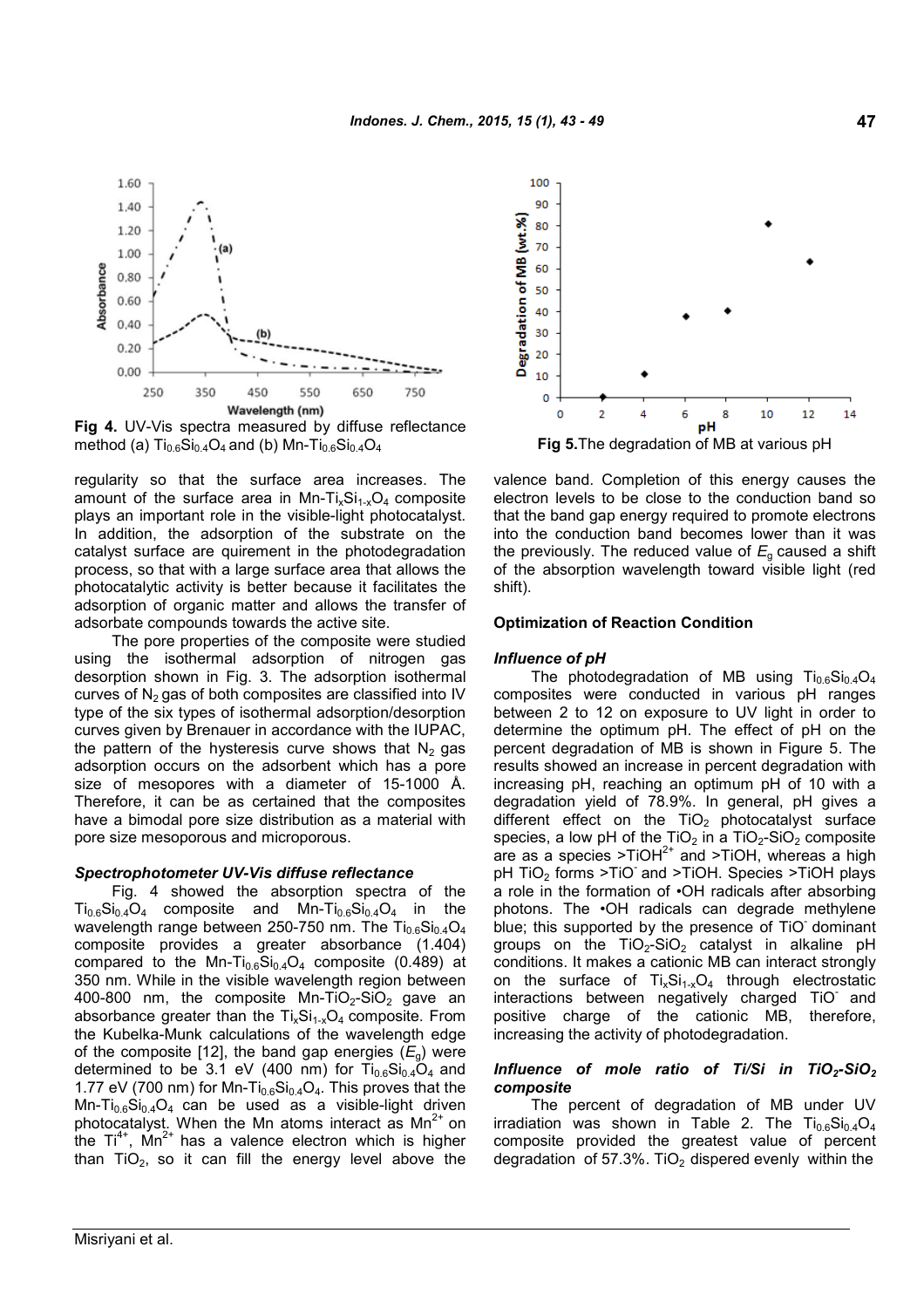

**Fig 4.** UV-Vis spectra measured by diffuse reflectance method (a)  $Ti_{0.6}Si_{0.4}O_4$  and (b) Mn- $Ti_{0.6}Si_{0.4}O_4$  **Fig 5.** The degradation of MB at various pH

regularity so that the surface area increases. The amount of the surface area in Mn-Ti<sub>x</sub>Si<sub>1-x</sub>O<sub>4</sub> composite plays an important role in the visible-light photocatalyst. In addition, the adsorption of the substrate on the catalyst surface are quirement in the photodegradation process, so that with a large surface area that allows the photocatalytic activity is better because it facilitates the adsorption of organic matter and allows the transfer of adsorbate compounds towards the active site.

The pore properties of the composite were studied using the isothermal adsorption of nitrogen gas desorption shown in Fig. 3. The adsorption isothermal curves of  $N_2$  gas of both composites are classified into IV type of the six types of isothermal adsorption/desorption curves given by Brenauer in accordance with the IUPAC, the pattern of the hysteresis curve shows that  $N_2$  gas adsorption occurs on the adsorbent which has a pore size of mesopores with a diameter of 15-1000 Å. Therefore, it can be as certained that the composites have a bimodal pore size distribution as a material with pore size mesoporous and microporous.

### *Spectrophotometer UV-Vis diffuse reflectance*

Fig. 4 showed the absorption spectra of the  $Ti_{0.6}Si_{0.4}O_4$  composite and Mn- $Ti_{0.6}Si_{0.4}O_4$  in the wavelength range between 250-750 nm. The  $Ti_{0.6}Si_{0.4}O_4$ composite provides a greater absorbance (1.404) compared to the Mn-Ti<sub>0.6</sub>Si<sub>0.4</sub>O<sub>4</sub> composite (0.489) at 350 nm. While in the visible wavelength region between 400-800 nm, the composite Mn-TiO<sub>2</sub>-SiO<sub>2</sub> gave an absorbance greater than the  $Ti_xSi_{1-x}O_4$  composite. From the Kubelka-Munk calculations of the wavelength edge of the composite [12], the band gap energies  $(E_q)$  were determined to be 3.1 eV (400 nm) for  $Ti_{0.6}Si_{0.4}O_4$  and 1.77 eV (700 nm) for Mn-Ti $_{0.6}Si_{0.4}O_4$ . This proves that the Mn-Ti $_{0.6}$ Si $_{0.4}$ O<sub>4</sub> can be used as a visible-light driven photocatalyst. When the Mn atoms interact as  $Mn^{2+}$  on the  $Ti^{4+}$ , Mn<sup>2+</sup> has a valence electron which is higher than  $TiO<sub>2</sub>$ , so it can fill the energy level above the



valence band. Completion of this energy causes the electron levels to be close to the conduction band so that the band gap energy required to promote electrons into the conduction band becomes lower than it was the previously. The reduced value of  $E_q$  caused a shift of the absorption wavelength toward visible light (red shift).

#### **Optimization of Reaction Condition**

#### *Influence of pH*

The photodegradation of MB using  $Ti_{0.6}Si_{0.4}O_4$ composites were conducted in various pH ranges between 2 to 12 on exposure to UV light in order to determine the optimum pH. The effect of pH on the percent degradation of MB is shown in Figure 5. The results showed an increase in percent degradation with increasing pH, reaching an optimum pH of 10 with a degradation yield of 78.9%. In general, pH gives a different effect on the  $TiO<sub>2</sub>$  photocatalyst surface species, a low pH of the TiO<sub>2</sub> in a TiO<sub>2</sub>-SiO<sub>2</sub> composite are as a species >TiOH $^{2+}$  and >TiOH, whereas a high pH TiO<sub>2</sub> forms >TiO<sup>-</sup> and >TiOH. Species >TiOH plays a role in the formation of •OH radicals after absorbing photons. The •OH radicals can degrade methylene blue; this supported by the presence of TiO dominant groups on the  $TiO<sub>2</sub>-SiO<sub>2</sub>$  catalyst in alkaline pH conditions. It makes a cationic MB can interact strongly on the surface of  $Ti_xSi_{1-x}O_4$  through electrostatic interactions between negatively charged TiO-and positive charge of the cationic MB, therefore, increasing the activity of photodegradation.

#### *Influence of mole ratio of Ti/Si in TiO2-SiO<sup>2</sup> composite*

The percent of degradation of MB under UV irradiation was shown in Table 2. The  $Ti_{0.6}Si_{0.4}O_4$ composite provided the greatest value of percent degradation of 57.3%. TiO<sub>2</sub> dispered evenly within the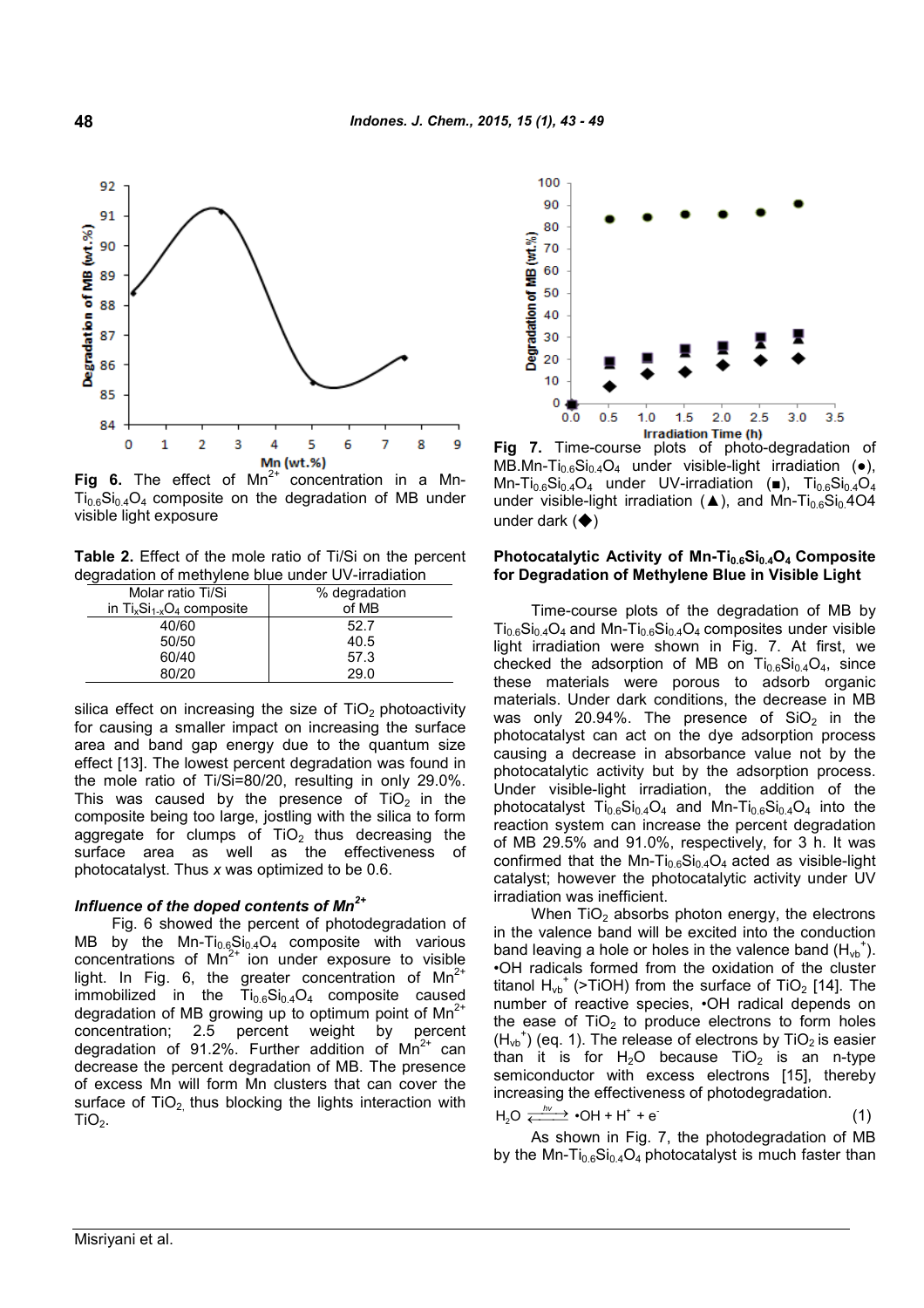

**Fig 6.** The effect of  $Mn^{2+}$  concentration in a Mn- $Ti<sub>0.6</sub>Si<sub>0.4</sub>O<sub>4</sub>$  composite on the degradation of MB under visible light exposure

**Table 2.** Effect of the mole ratio of Ti/Si on the percent degradation of methylene blue under UV-irradiation

| Molar ratio Ti/Si              | % degradation |
|--------------------------------|---------------|
| in $Ti_xSi_{1-x}O_4$ composite | of MB         |
| 40/60                          | 52.7          |
| 50/50                          | 40.5          |
| 60/40                          | 57.3          |
| 80/20                          | 29 O          |
|                                |               |

silica effect on increasing the size of  $TiO<sub>2</sub>$  photoactivity for causing a smaller impact on increasing the surface area and band gap energy due to the quantum size effect [13]. The lowest percent degradation was found in the mole ratio of Ti/Si=80/20, resulting in only 29.0%. This was caused by the presence of  $TiO<sub>2</sub>$  in the composite being too large, jostling with the silica to form aggregate for clumps of  $TiO<sub>2</sub>$  thus decreasing the surface area as well as the effectiveness of photocatalyst. Thus *x* was optimized to be 0.6.

## *Influence of the doped contents of Mn2+*

Fig. 6 showed the percent of photodegradation of MB by the Mn-Ti $_{0.6}Si_{0.4}O_4$  composite with various concentrations of  $Mn^{2+}$  ion under exposure to visible light. In Fig. 6, the greater concentration of  $Mn^{2+}$ immobilized in the  $Ti_{0.6}Si_{0.4}O_4$  composite caused degradation of MB growing up to optimum point of  $Mn^{2+}$ concentration; 2.5 percent weight by percent degradation of 91.2%. Further addition of  $Mn^{2+}$  can decrease the percent degradation of MB. The presence of excess Mn will form Mn clusters that can cover the surface of  $TiO<sub>2</sub>$  thus blocking the lights interaction with  $TiO<sub>2</sub>$ .



**Fig 7.** Time-course plots of photo-degradation of MB.Mn-Ti<sub>0.6</sub>Si<sub>0.4</sub>O<sub>4</sub> under visible-light irradiation ( $\bullet$ ), Mn-Ti<sub>0.6</sub>Si<sub>0.4</sub>O<sub>4</sub> under UV-irradiation (■), Ti<sub>0.6</sub>Si<sub>0.4</sub>O<sub>4</sub> under visible-light irradiation (▲), and Mn-Ti<sub>0.6</sub>Si<sub>0.</sub>4O4 under dark  $($   $\blacklozenge)$ 

#### **Photocatalytic Activity of Mn-Ti0.6Si0.4O<sup>4</sup> Composite for Degradation of Methylene Blue in Visible Light**

Time-course plots of the degradation of MB by  $Ti_{0.6}Si_{0.4}O_4$  and Mn-Ti<sub>0.6</sub>Si<sub>0.4</sub>O<sub>4</sub> composites under visible light irradiation were shown in Fig. 7. At first, we checked the adsorption of MB on  $Ti_{0.6}Si_{0.4}O_4$ , since these materials were porous to adsorb organic materials. Under dark conditions, the decrease in MB was only 20.94%. The presence of  $SiO<sub>2</sub>$  in the photocatalyst can act on the dye adsorption process causing a decrease in absorbance value not by the photocatalytic activity but by the adsorption process. Under visible-light irradiation, the addition of the photocatalyst  $Ti_{0.6}Si_{0.4}O_4$  and Mn-Ti<sub>0.6</sub>Si<sub>0.4</sub>O<sub>4</sub> into the reaction system can increase the percent degradation of MB 29.5% and 91.0%, respectively, for 3 h. It was confirmed that the Mn-Ti $_{0.6}Si_{0.4}O_4$  acted as visible-light catalyst; however the photocatalytic activity under UV irradiation was inefficient.

When  $TiO<sub>2</sub>$  absorbs photon energy, the electrons in the valence band will be excited into the conduction band leaving a hole or holes in the valence band  $(H_{\nu b}^{\dagger})$ . •OH radicals formed from the oxidation of the cluster titanol  $H_{\nu b}^+$  (>TiOH) from the surface of TiO<sub>2</sub> [14]. The number of reactive species, •OH radical depends on the ease of  $TiO<sub>2</sub>$  to produce electrons to form holes  $(H_{vb}^+)$  (eq. 1). The release of electrons by TiO<sub>2</sub> is easier than it is for  $H_2O$  because TiO<sub>2</sub> is an n-type semiconductor with excess electrons [15], thereby increasing the effectiveness of photodegradation.

$$
H_2O \xleftarrow{hv} \bullet OH + H^* + e
$$
 (1)

As shown in Fig. 7, the photodegradation of MB by the Mn-Ti<sub>0.6</sub>Si<sub>0.4</sub>O<sub>4</sub> photocatalyst is much faster than